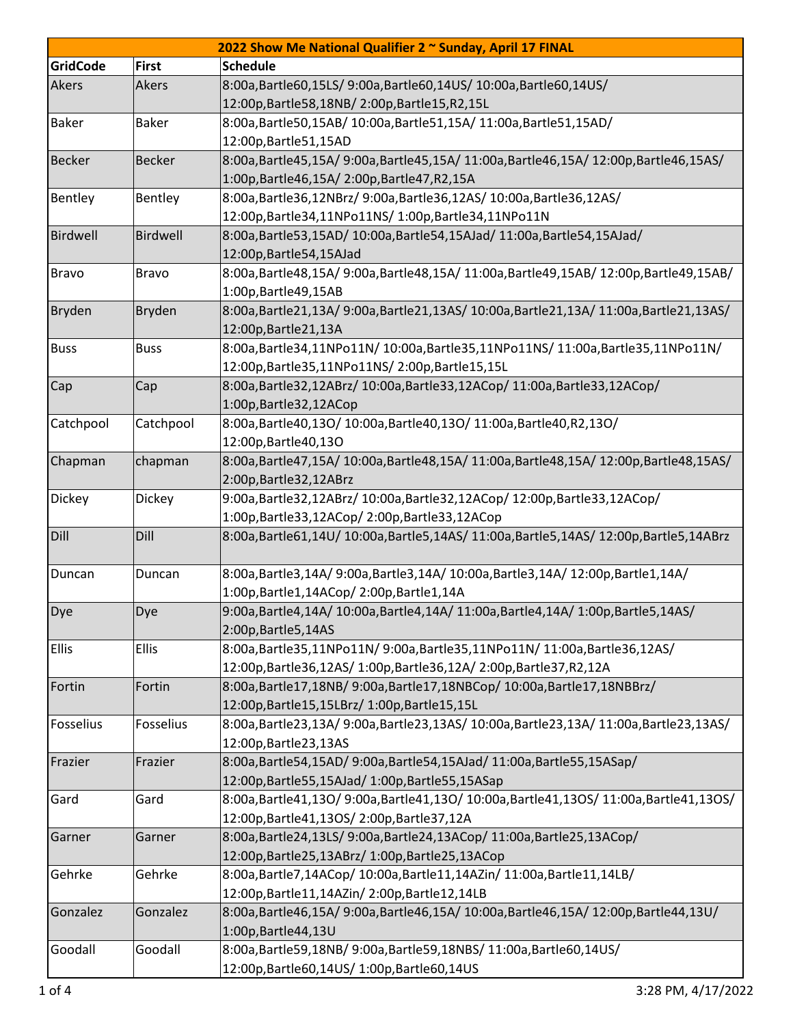| 2022 Show Me National Qualifier 2 ~ Sunday, April 17 FINAL |               |                                                                                     |  |  |  |
|------------------------------------------------------------|---------------|-------------------------------------------------------------------------------------|--|--|--|
| <b>GridCode</b>                                            | <b>First</b>  | <b>Schedule</b>                                                                     |  |  |  |
| Akers                                                      | Akers         | 8:00a,Bartle60,15LS/ 9:00a,Bartle60,14US/ 10:00a,Bartle60,14US/                     |  |  |  |
|                                                            |               | 12:00p, Bartle 58, 18NB/2:00p, Bartle 15, R2, 15L                                   |  |  |  |
| <b>Baker</b>                                               | <b>Baker</b>  | 8:00a, Bartle 50, 15AB/ 10:00a, Bartle 51, 15A/ 11:00a, Bartle 51, 15AD/            |  |  |  |
|                                                            |               | 12:00p, Bartle 51, 15AD                                                             |  |  |  |
| <b>Becker</b>                                              | <b>Becker</b> | 8:00a,Bartle45,15A/9:00a,Bartle45,15A/11:00a,Bartle46,15A/12:00p,Bartle46,15AS/     |  |  |  |
|                                                            |               | 1:00p, Bartle46, 15A/2:00p, Bartle47, R2, 15A                                       |  |  |  |
| Bentley                                                    | Bentley       | 8:00a, Bartle 36, 12NBrz/ 9:00a, Bartle 36, 12AS/ 10:00a, Bartle 36, 12AS/          |  |  |  |
|                                                            |               | 12:00p, Bartle 34, 11NPo 11NS/ 1:00p, Bartle 34, 11NPo 11N                          |  |  |  |
| Birdwell                                                   | Birdwell      | 8:00a,Bartle53,15AD/ 10:00a,Bartle54,15AJad/ 11:00a,Bartle54,15AJad/                |  |  |  |
|                                                            |               | 12:00p, Bartle 54, 15AJad                                                           |  |  |  |
| <b>Bravo</b>                                               | <b>Bravo</b>  | 8:00a,Bartle48,15A/9:00a,Bartle48,15A/11:00a,Bartle49,15AB/12:00p,Bartle49,15AB/    |  |  |  |
|                                                            |               | 1:00p, Bartle 49, 15AB                                                              |  |  |  |
| Bryden                                                     | <b>Bryden</b> | 8:00a,Bartle21,13A/9:00a,Bartle21,13AS/10:00a,Bartle21,13A/11:00a,Bartle21,13AS/    |  |  |  |
|                                                            |               | 12:00p, Bartle 21, 13A                                                              |  |  |  |
| <b>Buss</b>                                                | <b>Buss</b>   | 8:00a,Bartle34,11NPo11N/ 10:00a,Bartle35,11NPo11NS/ 11:00a,Bartle35,11NPo11N/       |  |  |  |
|                                                            |               | 12:00p,Bartle35,11NPo11NS/2:00p,Bartle15,15L                                        |  |  |  |
| Cap                                                        | Cap           | 8:00a,Bartle32,12ABrz/ 10:00a,Bartle33,12ACop/ 11:00a,Bartle33,12ACop/              |  |  |  |
|                                                            |               | 1:00p, Bartle 32, 12ACop                                                            |  |  |  |
| Catchpool                                                  | Catchpool     | 8:00a,Bartle40,13O/10:00a,Bartle40,13O/11:00a,Bartle40,R2,13O/                      |  |  |  |
|                                                            |               | 12:00p, Bartle 40, 130                                                              |  |  |  |
| Chapman                                                    | chapman       | 8:00a,Bartle47,15A/ 10:00a,Bartle48,15A/ 11:00a,Bartle48,15A/ 12:00p,Bartle48,15AS/ |  |  |  |
|                                                            |               | 2:00p, Bartle 32, 12ABrz                                                            |  |  |  |
| Dickey                                                     | Dickey        | 9:00a, Bartle32, 12ABrz/ 10:00a, Bartle32, 12ACop/ 12:00p, Bartle33, 12ACop/        |  |  |  |
|                                                            |               | 1:00p,Bartle33,12ACop/2:00p,Bartle33,12ACop                                         |  |  |  |
| Dill                                                       | Dill          | 8:00a,Bartle61,14U/10:00a,Bartle5,14AS/11:00a,Bartle5,14AS/12:00p,Bartle5,14ABrz    |  |  |  |
| Duncan                                                     | Duncan        | 8:00a,Bartle3,14A/ 9:00a,Bartle3,14A/ 10:00a,Bartle3,14A/ 12:00p,Bartle1,14A/       |  |  |  |
|                                                            |               | 1:00p,Bartle1,14ACop/2:00p,Bartle1,14A                                              |  |  |  |
| Dye                                                        | Dye           | 9:00a,Bartle4,14A/ 10:00a,Bartle4,14A/ 11:00a,Bartle4,14A/ 1:00p,Bartle5,14AS/      |  |  |  |
|                                                            |               | 2:00p, Bartle 5, 14AS                                                               |  |  |  |
| Ellis                                                      | <b>Ellis</b>  | 8:00a,Bartle35,11NPo11N/ 9:00a,Bartle35,11NPo11N/ 11:00a,Bartle36,12AS/             |  |  |  |
|                                                            |               | 12:00p,Bartle36,12AS/ 1:00p,Bartle36,12A/ 2:00p,Bartle37,R2,12A                     |  |  |  |
| Fortin                                                     | Fortin        | 8:00a,Bartle17,18NB/ 9:00a,Bartle17,18NBCop/ 10:00a,Bartle17,18NBBrz/               |  |  |  |
|                                                            |               | 12:00p, Bartle 15, 15LBrz/ 1:00p, Bartle 15, 15L                                    |  |  |  |
| Fosselius                                                  | Fosselius     | 8:00a,Bartle23,13A/9:00a,Bartle23,13AS/10:00a,Bartle23,13A/11:00a,Bartle23,13AS/    |  |  |  |
|                                                            |               | 12:00p, Bartle 23, 13AS                                                             |  |  |  |
| Frazier                                                    | Frazier       | 8:00a,Bartle54,15AD/ 9:00a,Bartle54,15AJad/ 11:00a,Bartle55,15ASap/                 |  |  |  |
|                                                            |               | 12:00p,Bartle55,15AJad/ 1:00p,Bartle55,15ASap                                       |  |  |  |
| Gard                                                       | Gard          | 8:00a,Bartle41,13O/9:00a,Bartle41,13O/10:00a,Bartle41,13OS/11:00a,Bartle41,13OS/    |  |  |  |
|                                                            |               | 12:00p, Bartle 41, 130S / 2:00p, Bartle 37, 12A                                     |  |  |  |
| Garner                                                     | Garner        | 8:00a,Bartle24,13LS/9:00a,Bartle24,13ACop/11:00a,Bartle25,13ACop/                   |  |  |  |
|                                                            |               | 12:00p,Bartle25,13ABrz/ 1:00p,Bartle25,13ACop                                       |  |  |  |
| Gehrke                                                     | Gehrke        | 8:00a, Bartle 7, 14ACop/ 10:00a, Bartle 11, 14AZin/ 11:00a, Bartle 11, 14LB/        |  |  |  |
|                                                            |               | 12:00p, Bartle11, 14AZin/2:00p, Bartle12, 14LB                                      |  |  |  |
| Gonzalez                                                   | Gonzalez      | 8:00a,Bartle46,15A/9:00a,Bartle46,15A/10:00a,Bartle46,15A/12:00p,Bartle44,13U/      |  |  |  |
|                                                            |               | 1:00p, Bartle 44, 13U                                                               |  |  |  |
| Goodall                                                    | Goodall       | 8:00a, Bartle 59, 18NB/ 9:00a, Bartle 59, 18NBS/ 11:00a, Bartle 60, 14US/           |  |  |  |
|                                                            |               | 12:00p, Bartle60, 14US / 1:00p, Bartle60, 14US                                      |  |  |  |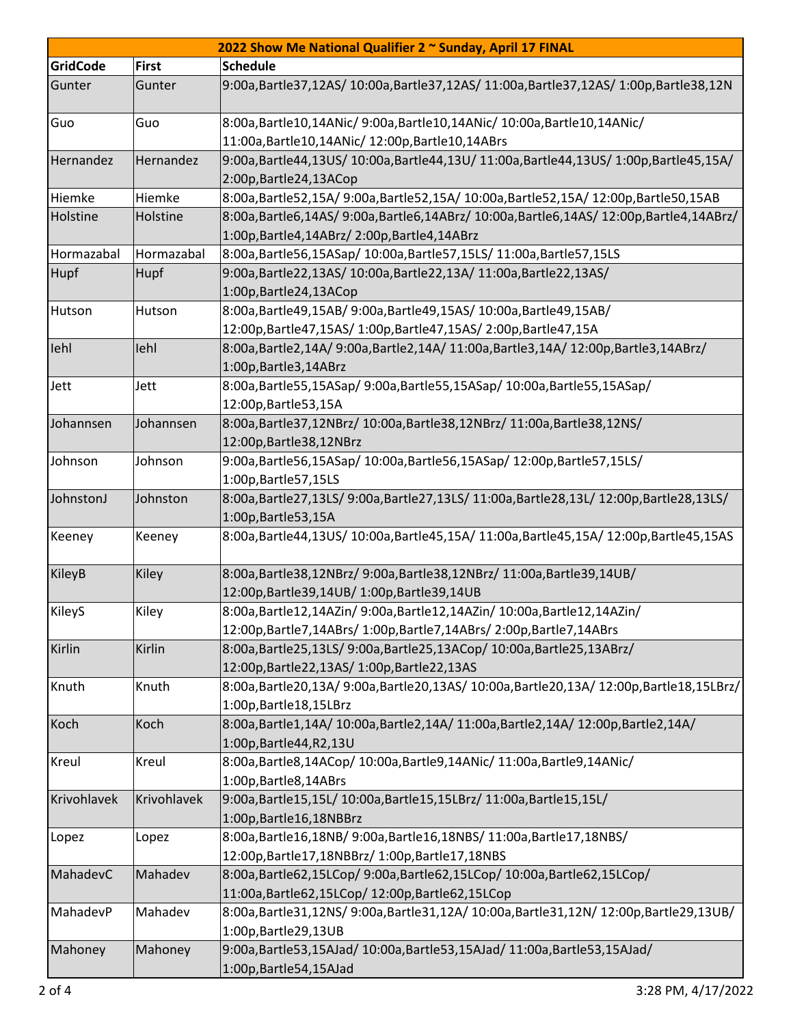| 2022 Show Me National Qualifier 2 ~ Sunday, April 17 FINAL |              |                                                                                                                                                  |  |  |  |
|------------------------------------------------------------|--------------|--------------------------------------------------------------------------------------------------------------------------------------------------|--|--|--|
| <b>GridCode</b>                                            | <b>First</b> | <b>Schedule</b>                                                                                                                                  |  |  |  |
| Gunter                                                     | Gunter       | 9:00a,Bartle37,12AS/ 10:00a,Bartle37,12AS/ 11:00a,Bartle37,12AS/ 1:00p,Bartle38,12N                                                              |  |  |  |
| Guo                                                        | Guo          | 8:00a, Bartle10, 14ANic/ 9:00a, Bartle10, 14ANic/ 10:00a, Bartle10, 14ANic/<br>11:00a, Bartle 10, 14ANic/ 12:00p, Bartle 10, 14ABrs              |  |  |  |
| Hernandez                                                  | Hernandez    | 9:00a,Bartle44,13US/10:00a,Bartle44,13U/11:00a,Bartle44,13US/1:00p,Bartle45,15A/<br>2:00p, Bartle 24, 13ACop                                     |  |  |  |
| Hiemke                                                     | Hiemke       | 8:00a,Bartle52,15A/ 9:00a,Bartle52,15A/ 10:00a,Bartle52,15A/ 12:00p,Bartle50,15AB                                                                |  |  |  |
| Holstine                                                   | Holstine     | 8:00a,Bartle6,14AS/9:00a,Bartle6,14ABrz/10:00a,Bartle6,14AS/12:00p,Bartle4,14ABrz/<br>1:00p, Bartle 4, 14ABrz/2:00p, Bartle 4, 14ABrz            |  |  |  |
| Hormazabal                                                 | Hormazabal   | 8:00a, Bartle 56, 15ASap/ 10:00a, Bartle 57, 15LS/ 11:00a, Bartle 57, 15LS                                                                       |  |  |  |
| Hupf                                                       | Hupf         | 9:00a, Bartle22, 13AS/ 10:00a, Bartle22, 13A/ 11:00a, Bartle22, 13AS/<br>1:00p, Bartle 24, 13ACop                                                |  |  |  |
| Hutson                                                     | Hutson       | 8:00a,Bartle49,15AB/ 9:00a,Bartle49,15AS/ 10:00a,Bartle49,15AB/<br>12:00p, Bartle47, 15AS/ 1:00p, Bartle47, 15AS/ 2:00p, Bartle47, 15A           |  |  |  |
| lehl                                                       | lehl         | 8:00a,Bartle2,14A/9:00a,Bartle2,14A/11:00a,Bartle3,14A/12:00p,Bartle3,14ABrz/<br>1:00p, Bartle 3, 14 ABrz                                        |  |  |  |
| Jett                                                       | Jett         | 8:00a, Bartle 55, 15ASap/ 9:00a, Bartle 55, 15ASap/ 10:00a, Bartle 55, 15ASap/<br>12:00p, Bartle 53, 15A                                         |  |  |  |
| Johannsen                                                  | Johannsen    | 8:00a, Bartle 37, 12NBrz/ 10:00a, Bartle 38, 12NBrz/ 11:00a, Bartle 38, 12NS/<br>12:00p, Bartle 38, 12NBrz                                       |  |  |  |
| Johnson                                                    | Johnson      | 9:00a,Bartle56,15ASap/ 10:00a,Bartle56,15ASap/ 12:00p,Bartle57,15LS/<br>1:00p, Bartle 57, 15LS                                                   |  |  |  |
| JohnstonJ                                                  | Johnston     | 8:00a,Bartle27,13LS/ 9:00a,Bartle27,13LS/ 11:00a,Bartle28,13L/ 12:00p,Bartle28,13LS/<br>1:00p, Bartle 53, 15A                                    |  |  |  |
| Keeney                                                     | Keeney       | 8:00a,Bartle44,13US/ 10:00a,Bartle45,15A/ 11:00a,Bartle45,15A/ 12:00p,Bartle45,15AS                                                              |  |  |  |
| KileyB                                                     | Kiley        | 8:00a, Bartle 38, 12NBrz/ 9:00a, Bartle 38, 12NBrz/ 11:00a, Bartle 39, 14UB/<br>12:00p, Bartle 39, 14 UB/ 1:00p, Bartle 39, 14 UB                |  |  |  |
| KileyS                                                     | Kiley        | 8:00a, Bartle12, 14AZin/ 9:00a, Bartle12, 14AZin/ 10:00a, Bartle12, 14AZin/<br>12:00p,Bartle7,14ABrs/ 1:00p,Bartle7,14ABrs/ 2:00p,Bartle7,14ABrs |  |  |  |
| Kirlin                                                     | Kirlin       | 8:00a, Bartle 25, 13LS/ 9:00a, Bartle 25, 13ACop/ 10:00a, Bartle 25, 13ABrz/<br>12:00p, Bartle 22, 13AS/ 1:00p, Bartle 22, 13AS                  |  |  |  |
| Knuth                                                      | Knuth        | 8:00a,Bartle20,13A/9:00a,Bartle20,13AS/10:00a,Bartle20,13A/12:00p,Bartle18,15LBrz/<br>1:00p, Bartle 18, 15LBrz                                   |  |  |  |
| Koch                                                       | Koch         | 8:00a,Bartle1,14A/10:00a,Bartle2,14A/11:00a,Bartle2,14A/12:00p,Bartle2,14A/<br>1:00p, Bartle 44, R2, 13U                                         |  |  |  |
| Kreul                                                      | Kreul        | 8:00a, Bartle 8, 14ACop/ 10:00a, Bartle 9, 14ANic/ 11:00a, Bartle 9, 14ANic/<br>1:00p, Bartle 8, 14 ABrs                                         |  |  |  |
| Krivohlavek                                                | Krivohlavek  | 9:00a,Bartle15,15L/ 10:00a,Bartle15,15LBrz/ 11:00a,Bartle15,15L/<br>1:00p, Bartle 16, 18NBBrz                                                    |  |  |  |
| Lopez                                                      | Lopez        | 8:00a, Bartle16, 18NB/ 9:00a, Bartle16, 18NBS/ 11:00a, Bartle17, 18NBS/<br>12:00p, Bartle 17, 18NBBrz/ 1:00p, Bartle 17, 18NBS                   |  |  |  |
| MahadevC                                                   | Mahadev      | 8:00a,Bartle62,15LCop/ 9:00a,Bartle62,15LCop/ 10:00a,Bartle62,15LCop/<br>11:00a, Bartle 62, 15LCop/ 12:00p, Bartle 62, 15LCop                    |  |  |  |
| MahadevP                                                   | Mahadev      | 8:00a,Bartle31,12NS/9:00a,Bartle31,12A/10:00a,Bartle31,12N/12:00p,Bartle29,13UB/<br>1:00p, Bartle 29, 13 UB                                      |  |  |  |
| Mahoney                                                    | Mahoney      | 9:00a,Bartle53,15AJad/ 10:00a,Bartle53,15AJad/ 11:00a,Bartle53,15AJad/<br>1:00p, Bartle 54, 15AJad                                               |  |  |  |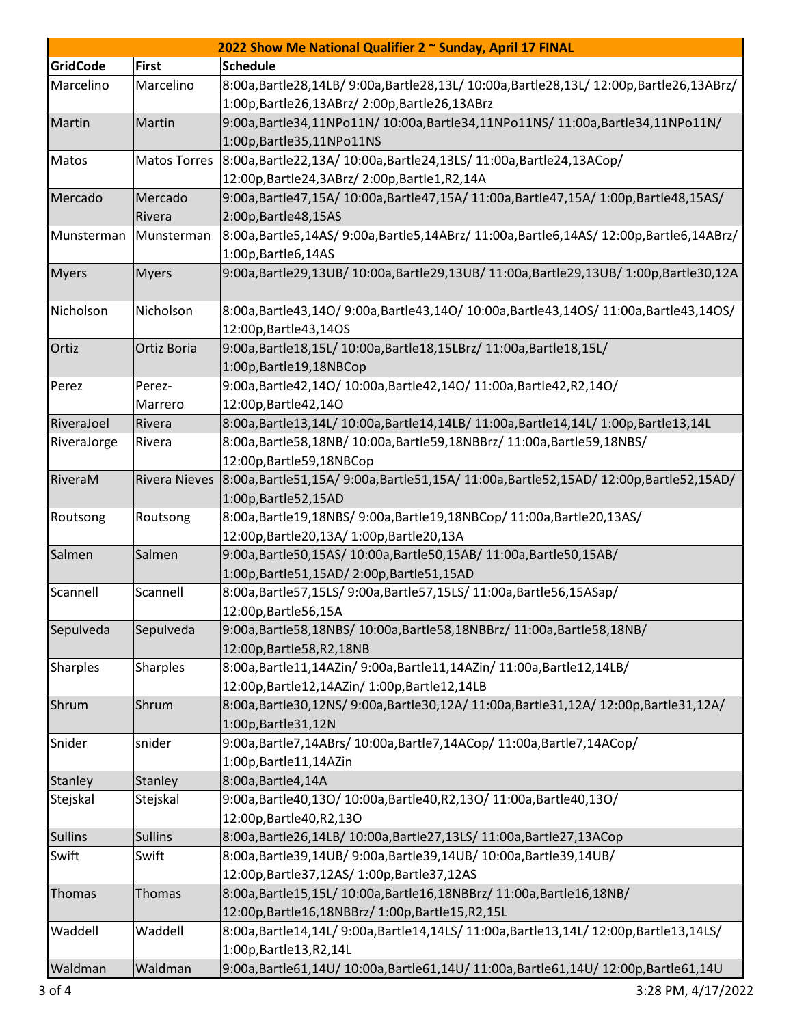| 2022 Show Me National Qualifier 2 ~ Sunday, April 17 FINAL |                      |                                                                                    |  |  |  |
|------------------------------------------------------------|----------------------|------------------------------------------------------------------------------------|--|--|--|
| <b>GridCode</b>                                            | <b>First</b>         | <b>Schedule</b>                                                                    |  |  |  |
| Marcelino                                                  | Marcelino            | 8:00a,Bartle28,14LB/9:00a,Bartle28,13L/10:00a,Bartle28,13L/12:00p,Bartle26,13ABrz/ |  |  |  |
|                                                            |                      | 1:00p, Bartle 26, 13ABrz/ 2:00p, Bartle 26, 13ABrz                                 |  |  |  |
| Martin                                                     | Martin               | 9:00a,Bartle34,11NPo11N/10:00a,Bartle34,11NPo11NS/11:00a,Bartle34,11NPo11N/        |  |  |  |
|                                                            |                      | 1:00p, Bartle 35, 11NPo 11NS                                                       |  |  |  |
| Matos                                                      | <b>Matos Torres</b>  | 8:00a,Bartle22,13A/ 10:00a,Bartle24,13LS/ 11:00a,Bartle24,13ACop/                  |  |  |  |
|                                                            |                      | 12:00p, Bartle 24, 3ABrz/ 2:00p, Bartle 1, R2, 14A                                 |  |  |  |
| Mercado                                                    | Mercado              | 9:00a,Bartle47,15A/ 10:00a,Bartle47,15A/ 11:00a,Bartle47,15A/ 1:00p,Bartle48,15AS/ |  |  |  |
|                                                            | Rivera               | 2:00p, Bartle 48, 15AS                                                             |  |  |  |
| Munsterman                                                 | Munsterman           | 8:00a,Bartle5,14AS/9:00a,Bartle5,14ABrz/11:00a,Bartle6,14AS/12:00p,Bartle6,14ABrz/ |  |  |  |
|                                                            |                      | 1:00p, Bartle6, 14AS                                                               |  |  |  |
| <b>Myers</b>                                               | <b>Myers</b>         | 9:00a,Bartle29,13UB/10:00a,Bartle29,13UB/11:00a,Bartle29,13UB/1:00p,Bartle30,12A   |  |  |  |
|                                                            |                      |                                                                                    |  |  |  |
| Nicholson                                                  | Nicholson            | 8:00a,Bartle43,14O/9:00a,Bartle43,14O/10:00a,Bartle43,14OS/11:00a,Bartle43,14OS/   |  |  |  |
|                                                            |                      | 12:00p, Bartle 43, 140S                                                            |  |  |  |
| Ortiz                                                      | Ortiz Boria          | 9:00a, Bartle 18, 15L/ 10:00a, Bartle 18, 15LBrz/ 11:00a, Bartle 18, 15L/          |  |  |  |
|                                                            |                      | 1:00p, Bartle 19, 18NBCop                                                          |  |  |  |
| Perez                                                      | Perez-               | 9:00a, Bartle42, 140/10:00a, Bartle42, 140/11:00a, Bartle42, R2, 140/              |  |  |  |
|                                                            | Marrero              | 12:00p, Bartle 42, 140                                                             |  |  |  |
| RiveraJoel                                                 | Rivera               | 8:00a,Bartle13,14L/10:00a,Bartle14,14LB/11:00a,Bartle14,14L/1:00p,Bartle13,14L     |  |  |  |
| RiveraJorge                                                | Rivera               | 8:00a, Bartle 58, 18NB/ 10:00a, Bartle 59, 18NBBrz/ 11:00a, Bartle 59, 18NBS/      |  |  |  |
|                                                            |                      | 12:00p, Bartle 59, 18NBCop                                                         |  |  |  |
| RiveraM                                                    | <b>Rivera Nieves</b> | 8:00a,Bartle51,15A/9:00a,Bartle51,15A/11:00a,Bartle52,15AD/12:00p,Bartle52,15AD/   |  |  |  |
|                                                            |                      | 1:00p, Bartle 52, 15AD                                                             |  |  |  |
| Routsong                                                   | Routsong             | 8:00a, Bartle19, 18NBS/ 9:00a, Bartle19, 18NBCop/ 11:00a, Bartle20, 13AS/          |  |  |  |
|                                                            |                      | 12:00p, Bartle 20, 13A / 1:00p, Bartle 20, 13A                                     |  |  |  |
| Salmen                                                     | Salmen               | 9:00a, Bartle50, 15AS/ 10:00a, Bartle50, 15AB/ 11:00a, Bartle50, 15AB/             |  |  |  |
|                                                            |                      | 1:00p, Bartle 51, 15AD/2:00p, Bartle 51, 15AD                                      |  |  |  |
| Scannell                                                   | Scannell             | 8:00a,Bartle57,15LS/ 9:00a,Bartle57,15LS/ 11:00a,Bartle56,15ASap/                  |  |  |  |
|                                                            |                      | 12:00p, Bartle 56, 15A                                                             |  |  |  |
| Sepulveda                                                  | Sepulveda            | 9:00a, Bartle 58, 18NBS/ 10:00a, Bartle 58, 18NBBrz/ 11:00a, Bartle 58, 18NB/      |  |  |  |
|                                                            |                      | 12:00p, Bartle 58, R2, 18NB                                                        |  |  |  |
| <b>Sharples</b>                                            | Sharples             | 8:00a, Bartle11, 14AZin/ 9:00a, Bartle11, 14AZin/ 11:00a, Bartle12, 14LB/          |  |  |  |
|                                                            |                      | 12:00p, Bartle12, 14AZin/ 1:00p, Bartle12, 14LB                                    |  |  |  |
| Shrum                                                      | Shrum                | 8:00a,Bartle30,12NS/9:00a,Bartle30,12A/11:00a,Bartle31,12A/12:00p,Bartle31,12A/    |  |  |  |
|                                                            |                      | 1:00p, Bartle 31, 12N                                                              |  |  |  |
| Snider                                                     | snider               | 9:00a,Bartle7,14ABrs/ 10:00a,Bartle7,14ACop/ 11:00a,Bartle7,14ACop/                |  |  |  |
|                                                            |                      | 1:00p, Bartle 11, 14AZin                                                           |  |  |  |
| Stanley                                                    | Stanley              | 8:00a, Bartle 4, 14A                                                               |  |  |  |
| Stejskal                                                   | Stejskal             | 9:00a,Bartle40,13O/10:00a,Bartle40,R2,13O/11:00a,Bartle40,13O/                     |  |  |  |
|                                                            |                      | 12:00p, Bartle 40, R2, 130                                                         |  |  |  |
| <b>Sullins</b>                                             | <b>Sullins</b>       | 8:00a, Bartle26, 14LB/ 10:00a, Bartle27, 13LS/ 11:00a, Bartle27, 13ACop            |  |  |  |
| Swift                                                      | Swift                | 8:00a, Bartle39, 14UB/ 9:00a, Bartle39, 14UB/ 10:00a, Bartle39, 14UB/              |  |  |  |
|                                                            |                      | 12:00p, Bartle 37, 12AS/ 1:00p, Bartle 37, 12AS                                    |  |  |  |
| Thomas                                                     | Thomas               | 8:00a, Bartle15, 15L/10:00a, Bartle16, 18NBBrz/11:00a, Bartle16, 18NB/             |  |  |  |
|                                                            |                      | 12:00p,Bartle16,18NBBrz/ 1:00p,Bartle15,R2,15L                                     |  |  |  |
| Waddell                                                    | Waddell              | 8:00a,Bartle14,14L/9:00a,Bartle14,14LS/11:00a,Bartle13,14L/12:00p,Bartle13,14LS/   |  |  |  |
|                                                            |                      | 1:00p, Bartle 13, R2, 14L                                                          |  |  |  |
| Waldman                                                    | Waldman              | 9:00a,Bartle61,14U/10:00a,Bartle61,14U/11:00a,Bartle61,14U/12:00p,Bartle61,14U     |  |  |  |